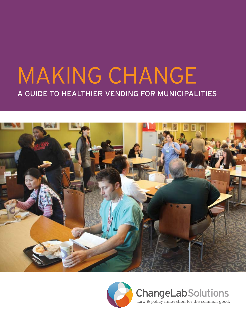# MAKING CHANGE A Guide to Healthier Vending for Municipalities





ChangeLabSolutions Law & policy innovation for the common good.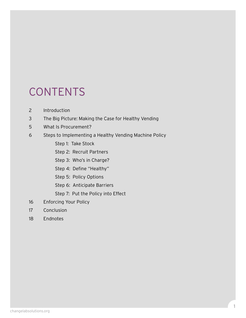# **CONTENTS**

- 2 Introduction
- 3 The Big Picture: Making the Case for Healthy Vending
- 5 What Is Procurement?
- 6 Steps to Implementing a Healthy Vending Machine Policy
	- Step 1: Take Stock
	- Step 2: Recruit Partners
	- Step 3: Who's in Charge?
	- Step 4: Define "Healthy"
	- Step 5: Policy Options
	- Step 6: Anticipate Barriers
	- Step 7: Put the Policy into Effect
- 16 Enforcing Your Policy
- 17 Conclusion
- 18 Endnotes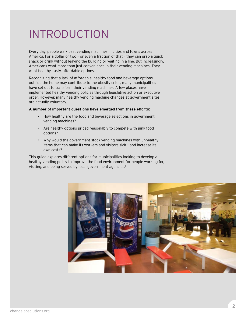# **INTRODUCTION**

Every day, people walk past vending machines in cities and towns across America. For a dollar or two – or even a fraction of that – they can grab a quick snack or drink without leaving the building or waiting in a line. But increasingly, Americans want more than just convenience in their vending machines. They want healthy, tasty, affordable options.

Recognizing that a lack of affordable, healthy food and beverage options outside the home may contribute to the obesity crisis, many municipalities have set out to transform their vending machines. A few places have implemented healthy vending policies through legislative action or executive order. However, many healthy vending machine changes at government sites are actually voluntary.

#### **A number of important questions have emerged from these efforts:**

- How healthy are the food and beverage selections in government vending machines?
- Are healthy options priced reasonably to compete with junk food options?
- Why would the government stock vending machines with unhealthy items that can make its workers and visitors sick – and increase its own costs?

This guide explores different options for municipalities looking to develop a healthy vending policy to improve the food environment for people working for, visiting, and being served by local government agencies.<sup>1</sup>

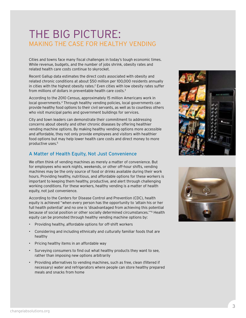# THE BIG PICTURE: Making the Case for Healthy Vending

Cities and towns face many fiscal challenges in today's tough economic times. While revenue, budgets, and the number of jobs shrink, obesity rates and related health care costs continue to skyrocket.

Recent Gallup data estimates the direct costs associated with obesity and related chronic conditions at about \$50 million per 100,000 residents annually in cities with the highest obesity rates.<sup>2</sup> Even cities with low obesity rates suffer from millions of dollars in preventable health care costs.3

According to the 2010 Census, approximately 15 million Americans work in local governments.4 Through healthy vending policies, local governments can provide healthy food options to their civil servants, as well as to countless others who visit municipal parks and government buildings for services.

City and town leaders can demonstrate their commitment to addressing concerns about obesity and other chronic diseases by offering healthier vending machine options. By making healthy vending options more accessible and affordable, they not only provide employees and visitors with healthier food options but may help lower health care costs and direct money to more productive uses.5

#### A Matter of Health Equity, Not Just Convenience

We often think of vending machines as merely a matter of convenience. But for employees who work nights, weekends, or other off-hour shifts, vending machines may be the only source of food or drinks available during their work hours. Providing healthy, nutritious, and affordable options for these workers is important to keeping them healthy, productive, and alert through challenging working conditions. For these workers, healthy vending is a matter of health equity, not just convenience.

According to the Centers for Disease Control and Prevention (CDC), health equity is achieved "when every person has the opportunity to 'attain his or her full health potential' and no one is 'disadvantaged from achieving this potential because of social position or other socially determined circumstances.'"6 Health equity can be promoted through healthy vending machine options by:

- Providing healthy, affordable options for off-shift workers
- Considering and including ethnically and culturally familiar foods that are healthy
- Pricing healthy items in an affordable way
- Surveying consumers to find out what healthy products they want to see, rather than imposing new options arbitrarily
- Providing alternatives to vending machines, such as free, clean (filtered if necessary) water and refrigerators where people can store healthy prepared meals and snacks from home



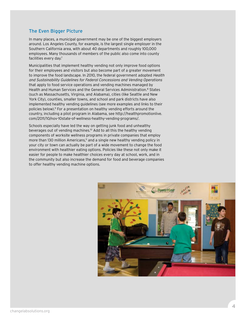#### The Even Bigger Picture

In many places, a municipal government may be one of the biggest employers around. Los Angeles County, for example, is the largest single employer in the Southern California area, with about 40 departments and roughly 100,000 employees. Many thousands of members of the public also come into county facilities every day.<sup>7</sup>

Municipalities that implement healthy vending not only improve food options for their employees and visitors but also become part of a greater movement to improve the food landscape. In 2010, the federal government adopted Health and Sustainability Guidelines for Federal Concessions and Vending Operations that apply to food service operations and vending machines managed by Health and Human Services and the General Services Administration.8 States (such as Massachusetts, Virginia, and Alabama), cities (like Seattle and New York City), counties, smaller towns, and school and park districts have also implemented healthy vending guidelines (see more examples and links to their policies below).9 For a presentation on healthy vending efforts around the country, including a pilot program in Alabama, see http://healthpromotionlive. com/2011/10/nov-10state-of-wellness-healthy-vending-programs/.

Schools especially have led the way on getting junk food and unhealthy beverages out of vending machines.10 Add to all this the healthy vending components of worksite wellness programs in private companies that employ more than 130 million Americans,<sup>11</sup> and a single new healthy vending policy in your city or town can actually be part of a wide movement to change the food environment with healthier eating options. Policies like these not only make it easier for people to make healthier choices every day at school, work, and in the community but also increase the demand for food and beverage companies to offer healthy vending machine options.

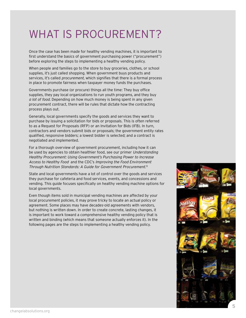# WHAT IS PROCUREMENT?

Once the case has been made for healthy vending machines, it is important to first understand the basics of government purchasing power ("procurement") before exploring the steps to implementing a healthy vending policy.

When people and families go to the store to buy groceries, clothes, or school supplies, it's just called shopping. When government buys products and services, it's called *procurement*, which signifies that there is a formal process in place to promote fairness when taxpayer money funds the purchases.

Governments purchase (or procure) things all the time: They buy office supplies, they pay local organizations to run youth programs, and they buy a lot of food. Depending on how much money is being spent in any given procurement contract, there will be rules that dictate how the contracting process plays out.

Generally, local governments specify the goods and services they want to purchase by issuing a solicitation for bids or proposals. This is often referred to as a Request for Proposals (RFP) or an Invitation for Bids (IFB). In turn, contractors and vendors submit bids or proposals; the government entity rates qualified, responsive bidders; a lowest bidder is selected; and a contract is negotiated and implemented.

For a thorough overview of government procurement, including how it can be used by agencies to obtain healthier food, see our primer Understanding Healthy Procurement: Using Government's Purchasing Power to Increase Access to Healthy Food and the CDC's Improving the Food Environment Through Nutrition Standards: A Guide for Government Procurement.<sup>13</sup>

State and local governments have a lot of control over the goods and services they purchase for cafeteria and food services, events, and concessions and vending. This guide focuses specifically on healthy vending machine options for local governments.

Even though items sold in municipal vending machines are affected by your local procurement policies, it may prove tricky to locate an actual policy or agreement. Some places may have decades-old agreements with vendors, but nothing is written down. In order to create concrete, lasting changes, it is important to work toward a comprehensive healthy vending policy that is written and binding (which means that someone actually enforces it). In the following pages are the steps to implementing a healthy vending policy.

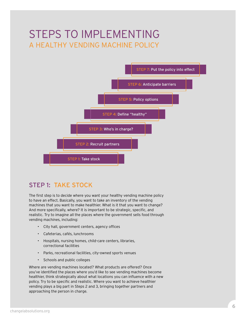# Steps to implementing a Healthy Vending Machine Policy



## Step 1: Take stock

The first step is to decide where you want your healthy vending machine policy to have an effect. Basically, you want to take an inventory of the vending machines that you want to make healthier. What is it that you want to change? And more specifically, where? It is important to be strategic, specific, and realistic. Try to imagine all the places where the government sells food through vending machines, including:

- City hall, government centers, agency offices
- Cafeterias, cafés, lunchrooms
- Hospitals, nursing homes, child-care centers, libraries, correctional facilities
- Parks, recreational facilities, city-owned sports venues
- Schools and public colleges

Where are vending machines located? What products are offered? Once you've identified the places where you'd like to see vending machines become healthier, think strategically about what locations you can influence with a new policy. Try to be specific and realistic. Where you want to achieve healthier vending plays a big part in Steps 2 and 3, bringing together partners and approaching the person in charge.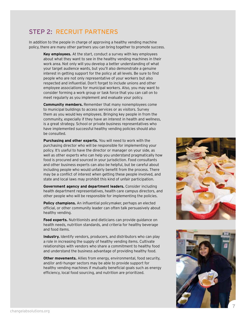## Step 2: Recruit partners

In addition to the people in charge of approving a healthy vending machine policy, there are many other partners you can bring together to promote success.

> **Key employees.** At the start, conduct a survey with key employees about what they want to see in the healthy vending machines in their work area. Not only will you develop a better understanding of what your target audience wants, but you'll also demonstrate a genuine interest in getting support for the policy at all levels. Be sure to find people who are not only representative of your workers but also respected and influential. Don't forget to include unions and other employee associations for municipal workers. Also, you may want to consider forming a work group or task force that you can call on to meet regularly as you implement and evaluate your policy.

> **Community members.** Remember that many nonemployees come to municipal buildings to access services or as visitors. Survey them as you would key employees. Bringing key people in from the community, especially if they have an interest in health and wellness, is a great strategy. School or private business representatives who have implemented successful healthy vending policies should also be consulted.

**Purchasing and other experts.** You will need to work with the purchasing director who will be responsible for implementing your policy. It's useful to have the director or manager on your side, as well as other experts who can help you understand pragmatically how food is procured and sourced in your jurisdiction. Food consultants and other business experts can also be helpful, but be careful about including people who would unfairly benefit from the process. There may be a conflict of interest when getting these people involved, and state and local laws may prohibit this kind of unfair participation.

**Government agency and department leaders.** Consider including health department representatives, health care campus directors, and other people who will be responsible for implementing the policies.

**Policy champions.** An influential policymaker, perhaps an elected official, or other community leader can often talk persuasively about healthy vending.

**Food experts.** Nutritionists and dieticians can provide guidance on health needs, nutrition standards, and criteria for healthy beverage and food items.

**Industry.** Identify vendors, producers, and distributors who can play a role in increasing the supply of healthy vending items. Cultivate relationships with vendors who share a commitment to healthy food and understand the business advantage of providing healthy food.

**Other movements.** Allies from energy, environmental, food security, and/or anti-hunger sectors may be able to provide support for healthy vending machines if mutually beneficial goals such as energy efficiency, local food sourcing, and nutrition are prioritized.



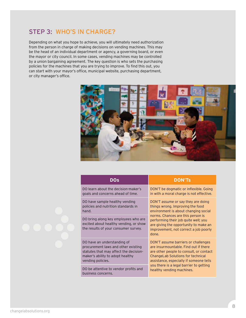### STEP 3: WHO'S IN CHARGE?

Depending on what you hope to achieve, you will ultimately need authorization from the person in charge of making decisions on vending machines. This may be the head of an individual department or agency, a governing board, or even the mayor or city council. In some cases, vending machines may be controlled by a union bargaining agreement. The key question is who sets the purchasing policies for the machines that you are trying to improve. To find this out, you can start with your mayor's office, municipal website, purchasing department, or city manager's office.



| DOs                                                                                                                                                                   | <b>DON'TS</b>                                                                                                                                                                                                                                                                          |
|-----------------------------------------------------------------------------------------------------------------------------------------------------------------------|----------------------------------------------------------------------------------------------------------------------------------------------------------------------------------------------------------------------------------------------------------------------------------------|
| DO learn about the decision-maker's<br>goals and concerns ahead of time.                                                                                              | DON'T be dogmatic or inflexible. Going<br>in with a moral charge is not effective.                                                                                                                                                                                                     |
| DO have sample healthy vending<br>policies and nutrition standards in<br>hand.                                                                                        | DON'T assume or say they are doing<br>things wrong. Improving the food<br>environment is about changing social<br>norms. Chances are this person is<br>performing their job quite well; you<br>are giving the opportunity to make an<br>improvement, not correct a job poorly<br>done. |
| DO bring along key employees who are<br>excited about healthy vending, or show<br>the results of your consumer survey.                                                |                                                                                                                                                                                                                                                                                        |
| DO have an understanding of<br>procurement laws and other existing<br>statutes that may affect the decision-<br>maker's ability to adopt healthy<br>vending policies. | DON'T assume barriers or challenges<br>are insurmountable. Find out if there<br>are other people to consult, or contact<br>ChangeLab Solutions for technical<br>assistance, especially if someone tells<br>you there is a legal barrier to getting<br>healthy vending machines.        |
| DO be attentive to vendor profits and<br>business concerns.                                                                                                           |                                                                                                                                                                                                                                                                                        |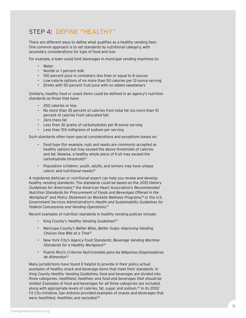## Step 4: Define "healthy"

There are different ways to define what qualifies as a healthy vending item. One common approach is to set standards by nutritional category, with secondary considerations for type of food and size.

For example, a town could limit beverages in municipal vending machines to:

- Water
- Nonfat or 1 percent milk
- 100 percent juice in containers less than or equal to 8 ounces
- Low-calorie options of no more than 50 calories per 12-ounce serving
- Drinks with 50 percent fruit juice with no added sweeteners

Similarly, healthy food or snack items could be defined in an agency's nutrition standards as those that have:

- 250 calories or less
- No more than 35 percent of calories from total fat (no more than 10 percent of calories from saturated fat)
- Zero trans fat
- Less than 30 grams of carbohydrates per 8-ounce serving
- Less than 150 milligrams of sodium per serving

Such standards often have special considerations and exceptions based on:

- Food type (for example, nuts and seeds are commonly accepted as healthy options but may exceed the above thresholds of calories and fat; likewise, a healthy whole piece of fruit may exceed the carbohydrate threshold)<sup>14</sup>
- Population (children, youth, adults, and seniors may have unique caloric and nutritional needs)15

A registered dietician or nutritional expert can help you review and develop healthy vending standards. The standards could be based on the 2010 Dietary Guidelines for Americans.<sup>16</sup> the American Heart Association's Recommended Nutrition Standards for Procurement of Foods and Beverages Offered in the Workplace<sup>17</sup> and Policy Statement on Worksite Wellness Programs,<sup>18</sup> or the U.S. Government Services Administration's Health and Sustainability Guidelines for Federal Concessions and Vending Operations. 19

Recent examples of nutrition standards in healthy vending policies include:

- King County's Healthy Vending Guidelines<sup>20</sup>
- Maricopa County's Better Bites, Better Gulps: Improving Vending Choices One Bite at a Time<sup>21</sup>
- New York City's Agency Food Standards: Beverage Vending Machine Standards for a Healthy Workplace<sup>22</sup>
- Puerto Rico's Criterios Nutricionales para las Máquinas Dispensadoras de Alimentos<sup>23</sup>

Many jurisdictions have found it helpful to provide in their policy actual examples of healthy snack and beverage items that meet their standards. In King County Healthy Vending Guidelines, food and beverages are divided into three categories: healthiest, healthier, and food and beverages that should be limited. Examples of food and beverages for all three categories are included, along with appropriate levels of calories, fat, sugar, and sodium.24 In its 2002 Fit City Initiative, San Antonio provided examples of snacks and beverages that were healthiest, healthier, and excluded.<sup>25</sup>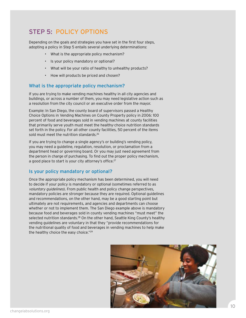## Step 5: policy options

Depending on the goals and strategies you have set in the first four steps, adopting a policy in Step 5 entails several underlying determinations:

- What is the appropriate policy mechanism?
- Is your policy mandatory or optional?
- What will be your ratio of healthy to unhealthy products?
- How will products be priced and chosen?

#### What is the appropriate policy mechanism?

If you are trying to make vending machines healthy in all city agencies and buildings, or across a number of them, you may need legislative action such as a resolution from the city council or an executive order from the mayor.

Example: In San Diego, the county board of supervisors passed a Healthy Choice Options in Vending Machines on County Property policy in 2006: 100 percent of food and beverages sold in vending machines at county facilities that primarily serve youth must meet the healthy-choice nutrition standards set forth in the policy. For all other county facilities, 50 percent of the items sold must meet the nutrition standards.<sup>26</sup>

If you are trying to change a single agency's or building's vending policy, you may need a guideline, regulation, resolution, or proclamation from a department head or governing board. Or you may just need agreement from the person in charge of purchasing. To find out the proper policy mechanism, a good place to start is your city attorney's office.<sup>27</sup>

#### Is your policy mandatory or optional?

Once the appropriate policy mechanism has been determined, you will need to decide if your policy is mandatory or optional (sometimes referred to as voluntary guidelines). From public health and policy change perspectives, mandatory policies are stronger because they are required. Optional guidelines and recommendations, on the other hand, may be a good starting point but ultimately are not requirements, and agencies and departments can choose whether or not to implement them. The San Diego example above is mandatory because food and beverages sold in county vending machines "must meet" the selected nutrition standards.<sup>28</sup> On the other hand, Seattle King County's healthy vending guidelines are voluntary in that they "provide recommendations for the nutritional quality of food and beverages in vending machines to help make the healthy choice the easy choice."<sup>29</sup>

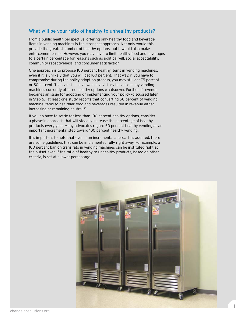#### What will be your ratio of healthy to unhealthy products?

From a public health perspective, offering only healthy food and beverage items in vending machines is the strongest approach. Not only would this provide the greatest number of healthy options, but it would also make enforcement easier. However, you may have to limit healthy food and beverages to a certain percentage for reasons such as political will, social acceptability, community receptiveness, and consumer satisfaction.

One approach is to propose 100 percent healthy items in vending machines, even if it is unlikely that you will get 100 percent. That way, if you have to compromise during the policy adoption process, you may still get 75 percent or 50 percent. This can still be viewed as a victory because many vending machines currently offer no healthy options whatsoever. Further, if revenue becomes an issue for adopting or implementing your policy (discussed later in Step 6), at least one study reports that converting 50 percent of vending machine items to healthier food and beverages resulted in revenue either increasing or remaining neutral.30

If you do have to settle for less than 100 percent healthy options, consider a phase-in approach that will steadily increase the percentage of healthy products every year. Many advocates regard 50 percent healthy vending as an important incremental step toward 100 percent healthy vending.

It is important to note that even if an incremental approach is adopted, there are some guidelines that can be implemented fully right away. For example, a 100 percent ban on trans fats in vending machines can be instituted right at the outset even if the ratio of healthy to unhealthy products, based on other criteria, is set at a lower percentage.

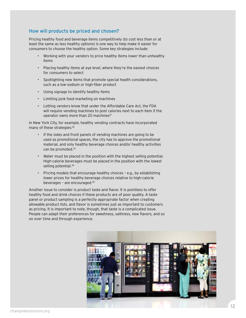#### How will products be priced and chosen?

Pricing healthy food and beverage items competitively (to cost less than or at least the same as less healthy options) is one way to help make it easier for consumers to choose the healthy option. Some key strategies include:

- Working with your vendors to price healthy items lower than unhealthy items
- Placing healthy items at eye level, where they're the easiest choices for consumers to select
- Spotlighting new items that promote special health considerations, such as a low-sodium or high-fiber product
- Using signage to identify healthy items
- Limiting junk food marketing on machines
- Letting vendors know that under the Affordable Care Act, the FDA will require vending machines to post calories next to each item if the operator owns more than 20 machines<sup>31</sup>

In New York City, for example, healthy vending contracts have incorporated many of these strategies: 32

- If the sides and front panels of vending machines are going to be used as promotional spaces, the city has to approve the promotional material, and only healthy beverage choices and/or healthy activities can be promoted.<sup>33</sup>
- Water must be placed in the position with the highest selling potential. High-calorie beverages must be placed in the position with the lowest selling potential.<sup>34</sup>
- Pricing models that encourage healthy choices e.g., by establishing lower prices for healthy beverage choices relative to high-calorie beverages – are encouraged.35

Another issue to consider is product taste and flavor. It is pointless to offer healthy food and drink choices if these products are of poor quality. A taste panel or product sampling is a perfectly appropriate factor when creating allowable product lists, and flavor is sometimes just as important to customers as pricing. It is important to note, though, that taste is a complicated issue. People can adapt their preferences for sweetness, saltiness, new flavors, and so on over time and through experience.

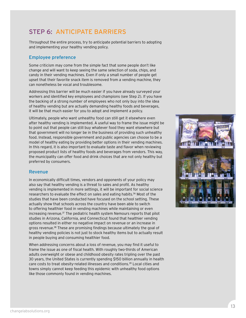# Step 6: Anticipate barriers

Throughout the entire process, try to anticipate potential barriers to adopting and implementing your healthy vending policy.

#### Employee preference

Some criticism may come from the simple fact that some people don't like change and will want to keep seeing the same selection of soda, chips, and candy in their vending machines. Even if only a small number of people get upset that their favorite snack item is removed from a vending machine, they can nonetheless be vocal and troublesome.

Addressing this barrier will be much easier if you have already surveyed your workers and identified key employees and champions (see Step 2). If you have the backing of a strong number of employees who not only buy into the idea of healthy vending but are actually demanding healthy foods and beverages, it will be that much easier for you to adopt and implement a policy.

Ultimately, people who want unhealthy food can still get it elsewhere even after healthy vending is implemented. A useful way to frame the issue might be to point out that people can still buy whatever food they want elsewhere but that government will no longer be in the business of providing such unhealthy food. Instead, responsible government and public agencies can choose to be a model of healthy eating by providing better options in their vending machines. In this regard, it is also important to evaluate taste and flavor when reviewing proposed product lists of healthy foods and beverages from vendors. This way, the municipality can offer food and drink choices that are not only healthy but preferred by consumers.

#### Revenue

In economically difficult times, vendors and opponents of your policy may also say that healthy vending is a threat to sales and profit. As healthy vending is implemented in more settings, it will be important for social science researchers to evaluate the effect on sales and eating habits.36 Most of the studies that have been conducted have focused on the school setting. These actually show that schools across the country have been able to switch to offering healthier food in vending machines while maintaining or even increasing revenue.37 The pediatric health system Nemours reports that pilot studies in Arizona, California, and Connecticut found that healthier vending options resulted in either no negative impact on revenue or an increase in gross revenue.38 These are promising findings because ultimately the goal of healthy vending policies is not just to stock healthy items but to actually result in people buying and consuming healthier food.

When addressing concerns about a loss of revenue, you may find it useful to frame the issue as one of fiscal health. With roughly two-thirds of American adults overweight or obese and childhood obesity rates tripling over the past 30 years, the United States is currently spending \$150 billion annually in health care costs to treat obesity-related illnesses and conditions.39 Local cities and towns simply cannot keep feeding this epidemic with unhealthy food options like those commonly found in vending machines.

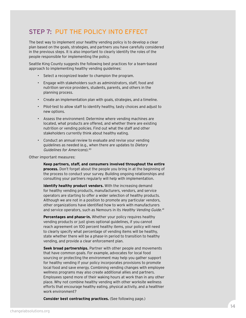## Step 7: Put the policy into effect

The best way to implement your healthy vending policy is to develop a clear plan based on the goals, strategies, and partners you have carefully considered in the previous steps. It is also important to clearly identify the roles of the people responsible for implementing the policy.

Seattle King County suggests the following best practices for a team-based approach to implementing healthy vending guidelines:

- Select a recognized leader to champion the program.
- Engage with stakeholders such as administrators, staff, food and nutrition service providers, students, parents, and others in the planning process.
- Create an implementation plan with goals, strategies, and a timeline.
- Pilot-test to allow staff to identify healthy, tasty choices and adjust to new options.
- Assess the environment: Determine where vending machines are located, what products are offered, and whether there are existing nutrition or vending policies. Find out what the staff and other stakeholders currently think about healthy eating.
- Conduct an annual review to evaluate and revise your vending guidelines as needed (e.g., when there are updates to Dietary Guidelines for Americans).40

Other important measures:

**Keep partners, staff, and consumers involved throughout the entire process.** Don't forget about the people you bring in at the beginning of the process to conduct your survey. Building ongoing relationships and consulting your partners regularly will help with implementation.

**Identify healthy product vendors.** With the increasing demand for healthy vending products, manufacturers, vendors, and service operators are starting to offer a wider selection of healthy products. Although we are not in a position to promote any particular vendors, other organizations have identified how to work with manufacturers and service operators, such as Nemours in its Healthy Vending Guide.<sup>41</sup>

**Percentages and phase-in.** Whether your policy requires healthy vending products or just gives optional guidelines, if you cannot reach agreement on 100 percent healthy items, your policy will need to clearly specify what percentage of vending items will be healthy, state whether there will be a phase-in period to transition to healthy vending, and provide a clear enforcement plan.

**Seek broad partnerships.** Partner with other people and movements that have common goals. For example, advocates for local food sourcing or protecting the environment may help you gather support for healthy vending if your policy incorporates provisions to promote local food and save energy. Combining vending changes with employee wellness programs may also create additional allies and partners. Employees spend more of their waking hours at work than in any other place. Why not combine healthy vending with other worksite wellness efforts that encourage healthy eating, physical activity, and a healthier work environment?

**Consider best contracting practices.** (See following page.)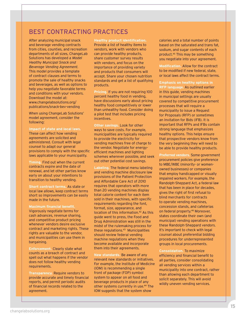### Best Contracting Practices

After analyzing municipal snack and beverage vending contracts from cities, counties, and recreation departments of all sizes, ChangeLab Solutions has developed a Model Healthy Municipal Snack and Beverage Vending Agreement. This model provides a template of contract clauses and terms to promote the sale of healthy snacks and beverages, as well as options to help you negotiate favorable terms and conditions with your vendors. Download the model at: www.changelabsolutions.org/ publications/snack-bev-vending

When using ChangeLab Solutions' model agreement, consider the following:

**Impact of state and local laws.**

These can affect how vending agreements are solicited and administered. Consult with legal counsel to adapt our general provisions to comply with the specific laws applicable to your municipality.

**Timing.** Find out when the current contracts expire and the date of renewal, and let other parties know early on about your intentions to transition to healthy vending.

**Short contract terms.** As state or local law allows, keep contract terms short so improvements can be easily made in the future.

**Maximum financial benefit.** Vigorously negotiate terms for cash advances, revenue sharing, and competitive product pricing whenever vendors desire exclusive contract and marketing rights. These rights are valuable to the vendor, and municipalities can use them in bargaining.

**Enforcement.** Clearly state what counts as a breach of contract and spell out what happens if the vendor does not follow healthy vending requirements.

**Transparency.** Require vendors to provide accurate and timely financial reports, and permit periodic audits of financial records related to the agreement.

**Healthy product identification.** Provide a list of healthy items to vendors, work with vendors who can provide healthy products, share customer survey results with vendors, and focus on the importance of providing variety and products that consumers will accept. Share your chosen nutrition standards and get a list of qualifying products.

**Pricing.** If you are not requiring 100 percent healthy food in vending, have discussions early about pricing healthy food competitively or lower than unhealthy food. Consider doing a pilot test that includes pricing incentives.

**Other savings.** Look for other ways to save costs. For example, municipalities are typically required to provide the electricity for vending machines free of charge to the vendor. Negotiate for energyefficient machines and lighting schemes wherever possible, and seek out other potential cost savings.

**Labeling.** The federal menu labeling and vending machine disclosure law provisions of the Patient Protection and Affordable Care Act of 2010 requires that operators with more than 20 vending machines display total calorie content for each item sold in their machines, with specific requirements regarding the font, format, size, appearance, and location of this information.42 As this guide went to press, the Food and Drug Administration was still in the midst of the rulemaking process for these regulations.43 Municipalities should review federal vending machine regulations when they become available and incorporate them into their agreements.

**New standards.** Be aware of any relevant new standards or initiatives. For example, the Institute of Medicine (IOM) is recommending a single front of package (FOP) symbol system to appear on all food and beverage products in place of any other systems currently in use.44 The IOM suggests that the system show

calories and a total number of points based on the saturated and trans fat, sodium, and sugar contents of each product.45 This may be something you negotiate into your agreement.

**Modification.** Allow for the contract to be modified if new federal, state, or local laws affect the contract terms.

**Emphasis on healthy options in** 

**RFP language.** As outlined earlier in this guide, vending machines in municipal settings are usually covered by competitive procurement processes that will require a municipality to issue a Request for Proposals (RFP) or sometimes an Invitation for Bids (IFB). It is important that RFPs and IFBs contain strong language that emphasizes healthy options. This helps ensure that prospective vendors know from the very beginning they will need to be able to provide healthy products.

**Preferred vendors.** Some government procurement policies give preference to MBE/WBE (minority- or womenowned businesses) or companies that employ handicapped or visually impaired workers. For example, the Randolph-Sheppard Act, a federal law that has been in place for decades, gives the right of first refusal to blind merchants for contracts to operate vending machines, concession stands, and cafeterias on federal property.46 Moreover, states coordinate their own (and municipal) vending operations with these Randolph-Sheppard vendors. It's important to check with legal counsel about preferential bidding procedures for underrepresented groups in local procurements.

**Consolidation.** To maximize efficiency and financial benefit to all parties, consider consolidating all vending services within a municipality into one contract, rather than allowing each department to solicit separately. This will avoid wildly uneven vending services.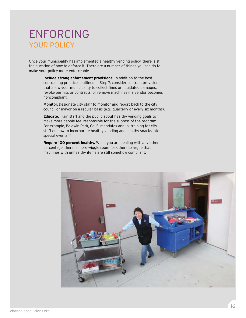# ENFORCING<br>YOUR POLICY

Once your municipality has implemented a healthy vending policy, there is still the question of how to enforce it. There are a number of things you can do to make your policy more enforceable.

> **Include strong enforcement provisions.** In addition to the best contracting practices outlined in Step 7, consider contract provisions that allow your municipality to collect fines or liquidated damages, revoke permits or contracts, or remove machines if a vendor becomes noncompliant.

**Monitor.** Designate city staff to monitor and report back to the city council or mayor on a regular basis (e.g., quarterly or every six months).

**Educate.** Train staff and the public about healthy vending goals to make more people feel responsible for the success of the program. For example, Baldwin Park, Calif., mandates annual training for city staff on how to incorporate healthy vending and healthy snacks into special events.47

**Require 100 percent healthy.** When you are dealing with any other percentage, there is more wiggle room for others to argue that machines with unhealthy items are still somehow compliant.

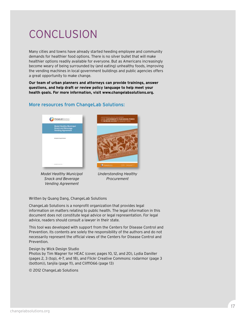# Conclusion

Many cities and towns have already started heeding employee and community demands for healthier food options. There is no silver bullet that will make healthier options readily available for everyone. But as Americans increasingly become weary of being surrounded by (and eating) unhealthy foods, improving the vending machines in local government buildings and public agencies offers a great opportunity to make change.

**Our team of urban planners and attorneys can provide trainings, answer questions, and help draft or review policy language to help meet your health goals. For more information, visit www.changelabsolutions.org.**

#### More resources from ChangeLab Solutions:







Understanding Healthy Procurement

Written by Quang Dang, ChangeLab Solutions

ChangeLab Solutions is a nonprofit organization that provides legal information on matters relating to public health. The legal information in this document does not constitute legal advice or legal representation. For legal advice, readers should consult a lawyer in their state.

This tool was developed with support from the Centers for Disease Control and Prevention. Its contents are solely the responsibility of the authors and do not necessarily represent the official views of the Centers for Disease Control and Prevention.

#### Design by [Wick Design Studio](http://www.wickdesignstudio.com)

Photos by Tim Wagner for HEAC (cover, pages 10, 12, and 20), Lydia Daniller (pages 2, 3 (top), 4–7, and 18), and Flickr Creative Commons: rodarmor (page 3 (bottom)), tanjila (page 11), and Cliff1066 (page 13)

© 2012 ChangeLab Solutions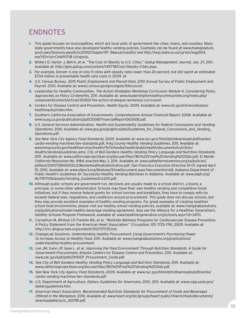# **ENDNOTES**

- **1.** This guide focuses on municipalities, which are local units of government like cities, towns, and counties. Many state governments have also developed healthy vending policies. Examples can be found at www.malegislature. gov/Laws/SessionLaws/Acts/2010/Chapter197 (Massachusetts) and http://leg1.state.va.us/cgi-bin/legp504. exe?101+ful+CHAP0718 (Virginia).
- **2.** Witters D, Harter J, Bell K, et al. "The Cost of Obesity to U.S. Cities." Gallup Management Journal, Jan. 27, 2011. Available at: http://gmj.gallup.com/content/145778/Cost-Obesity-Cities.aspx.
- **3.** For example, Denver is one of only 11 cities with obesity rates lower than 20 percent, but still spent an estimated \$704 million in preventable health care costs in 2009. Id.
- **4.** U.S. Census Bureau. 2010 Public Employment and Payroll Data. 2010 Annual Survey of Public Employment and Payroll. 2010. Available at: www2.census.gov/govs/apes/10locus.txt.
- **5.** Leadership for Healthy Communities. The Action Strategies Workshop Curriculum: Module 4. Considering Policy Approaches as Policy Co-benefits. 2011. Available at: www.leadershipforhealthycommunities.org/index.php/ component/content/article/35/602-the-action-strategies-workshop-curriculum.
- **6.** Centers for Disease Control and Prevention. Health Equity. 2009. Available at: www.cdc.gov/chronicdisease/ healthequity/index.htm.
- **7.** Southern California Association of Governments. Comprehensive Annual Financial Report. 2008. Available at: www.scag.ca.gov/publications/pdf/2008/FinancialReport063008.pdf.
- **8.** U.S. General Services Administration. Health and Sustainability Guidelines for Federal Concessions and Vending Operations. 2010. Available at: www.gsa.gov/graphics/pbs/Guidelines\_for\_Federal\_Concessions\_and\_Vending Operations.pdf.
- **9.** See New York City Agency Food Standards. 2009. Available at: www.nyc.gov/ html/doh/downloads/pdf/cardio/ cardio-vending-machines-bev-standards.pdf; King County Healthy Vending Guidelines. 2011. Available at: www.kingcounty.gov/healthservices/health/%7e/media/health/publichealth/documents/nutrition/ HealthyVendingGuidelines.ashx; City of Bell Gardens Healthy Vending Policy Language and Nutrition Standards. 2011. Available at: www.californiaprojectlean.org/docuserfiles//BG%20Final%20Vending%20Stds.pdf; El Monte California Resolution No. 9184, enacted May 3, 2011. Available at: www.eatbettermovemore.org/sa/policies/ pdftext/201107281450120.ElMonteHealthyKidsInitiative.pdf; San Francisco Executive Directive 10-01, signed April 19, 2010. Available at: www.sfgov3.org/Modules/ShowDocument.aspx?documentid=68; Alabama Department of Public Health's Guidelines for Successful Healthy Vending Machines in Alabama. Available at: www.adph.org/ NUTRITION/assets/Vending\_GuidelinesOct2011.pdf.
- **10.** Although public schools are government-run, decisions are usually made by a school district, a board, a principal, or some other administrator. Schools may have their own healthy vending and competitive foods initiatives, but if they receive federal grants for school lunches and breakfasts, they have to comply with (or exceed) federal laws, regulations, and conditions around procurement. This guide does not discuss schools, but they may provide excellent examples of healthy vending programs. For great examples of creating healthier school food environments, please visit our healthy school vending policies, available at: www.changelabsolutions. org/publications/model-healthy-beverage-vending-agreement. Also see the Alliance for a Healthier Generation's Healthy Schools Program Framework, available at: www.healthiergeneration.org/schools.aspx?id=3470.
- **11.** Carnethon M, Whitsel LP, Franklin BA, et al. "Worksite Wellness Programs for Cardiovascular Disease Prevention. A Policy Statement from the American Heart Association." Circulation, 120: 1725–1741, 2009. Available at: http://circ.ahajournals.org/content/120/17/1725.full.
- **12.** ChangeLab Solutions. Understanding Healthy Procurement: Using Government's Purchasing Power to Increase Access to Healthy Food. 2011. Available at: www.changelabsolutions.org/publications/ understanding-healthy-procurement.
- **13.** Lee JM, Gunn JP, Gase L, et al. Improving the Food Environment Through Nutrition Standards: A Guide for Government Procurement. Atlanta: Centers for Disease Control and Prevention. 2011. Available at: www.cdc.gov/salt/pdfs/DHDSP\_Procurement\_Guide.pdf.
- **14.** See City of Bell Gardens Healthy Vending Policy Language and Nutrition Standards. 2011. Available at: www.californiaprojectlean.org/docuserfiles//BG%20Final%20Vending%20Stds.pdf.
- **15.** See New York City Agency Food Standards. 2009. Available at: www.nyc.gov/html/doh/downloads/pdf/cardio/ cardio-vending-machines-bev-standards.pdf.
- **16**. U.S. Department of Agriculture. Dietary Guidelines for Americans, 2010. 2011. Available at: www.cnpp.usda.gov/ dietaryguidelines.htm.
- **17.** American Heart Association. Recommended Nutrition Standards for Procurement of Foods and Beverages Offered in the Workplace. 2010. Available at: www.heart.org/idc/groups/heart-public/@wcm/@adv/documents/ downloadable/ucm\_320781.pdf.